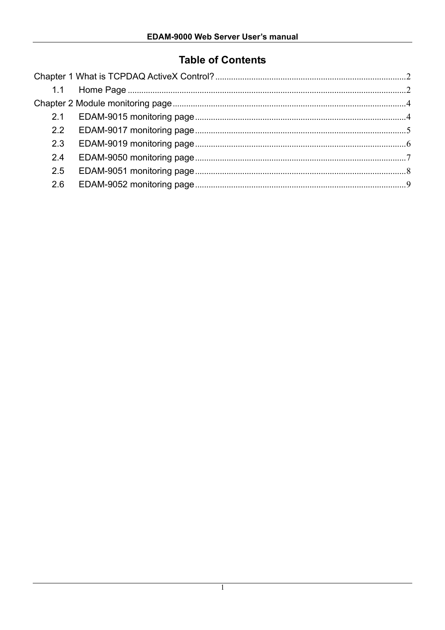# **Table of Contents**

| 2.2 |  |
|-----|--|
| 2.3 |  |
| 2.4 |  |
| 2.5 |  |
| 2.6 |  |
|     |  |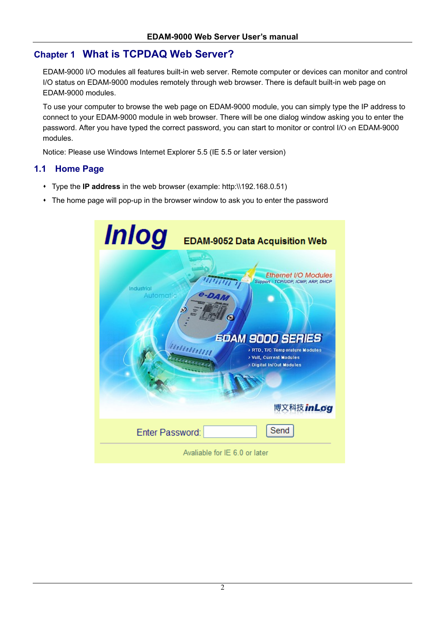## **Chapter 1 What is TCPDAQ Web Server?**

EDAM-9000 I/O modules all features built-in web server. Remote computer or devices can monitor and control I/O status on EDAM-9000 modules remotely through web browser. There is default built-in web page on EDAM-9000 modules.

To use your computer to browse the web page on EDAM-9000 module, you can simply type the IP address to connect to your EDAM-9000 module in web browser. There will be one dialog window asking you to enter the password. After you have typed the correct password, you can start to monitor or control I/O on EDAM-9000 modules.

Notice: Please use Windows Internet Explorer 5.5 (IE 5.5 or later version)

#### **1.1 Home Page**

- Type the **IP address** in the web browser (example: http:\\192.168.0.51)
- The home page will pop-up in the browser window to ask you to enter the password

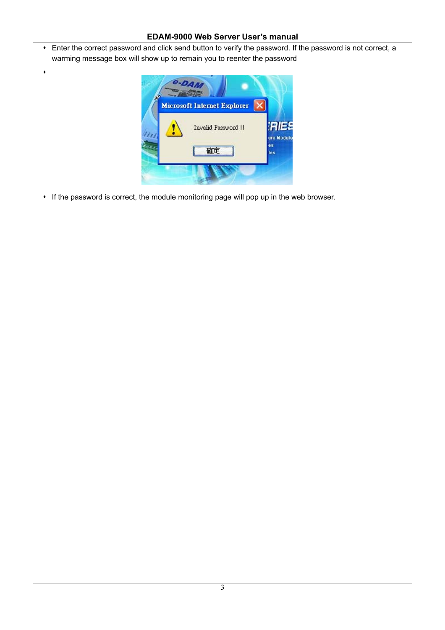#### **EDAM-9000 Web Server User's manual**

 Enter the correct password and click send button to verify the password. If the password is not correct, a warming message box will show up to remain you to reenter the password



If the password is correct, the module monitoring page will pop up in the web browser.

 $\bullet$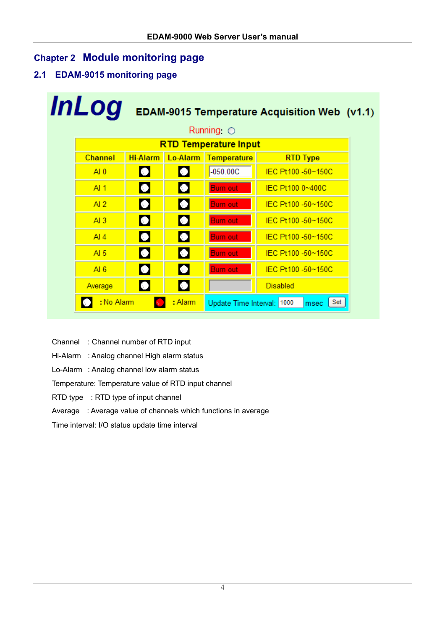## **Chapter 2 Module monitoring page**

**2.1 EDAM-9015 monitoring page** 

| <b>InLog</b><br>EDAM-9015 Temperature Acquisition Web (v1.1) |                              |                 |                |                            |                    |  |  |  |  |  |  |
|--------------------------------------------------------------|------------------------------|-----------------|----------------|----------------------------|--------------------|--|--|--|--|--|--|
|                                                              | Running $\bigcirc$           |                 |                |                            |                    |  |  |  |  |  |  |
|                                                              | <b>RTD Temperature Input</b> |                 |                |                            |                    |  |  |  |  |  |  |
|                                                              | <b>Channel</b>               | <b>Hi-Alarm</b> | Lo-Alarm       | <b>Temperature</b>         | <b>RTD Type</b>    |  |  |  |  |  |  |
|                                                              | AI <sub>0</sub>              | $\blacksquare$  | $\blacksquare$ | $-050.00C$                 | IEC Pt100 -50~150C |  |  |  |  |  |  |
|                                                              | AI1                          | $\blacksquare$  | $\blacksquare$ | <b>Burn out</b>            | IEC Pt100 0~400C   |  |  |  |  |  |  |
|                                                              | AI2                          | $\blacksquare$  | $\blacksquare$ | <b>Burn out</b>            | IEC Pt100 -50~150C |  |  |  |  |  |  |
|                                                              | AI3                          | $\Box$          | $\blacksquare$ | <b>Burn out</b>            | IEC Pt100 -50~150C |  |  |  |  |  |  |
|                                                              | AI4                          | $\blacksquare$  | $\blacksquare$ | <b>Burn out</b>            | IEC Pt100 -50~150C |  |  |  |  |  |  |
|                                                              | AI $5$                       | $\blacksquare$  | $\blacksquare$ | <b>Burn out</b>            | IEC Pt100 -50~150C |  |  |  |  |  |  |
|                                                              | AI 6                         | $\blacksquare$  | $\blacksquare$ | <b>Burn out</b>            | IEC Pt100 -50~150C |  |  |  |  |  |  |
|                                                              | Average                      | $\blacksquare$  | $\blacksquare$ |                            | <b>Disabled</b>    |  |  |  |  |  |  |
|                                                              | : No Alarm                   |                 | : Alarm        | Update Time Interval: 1000 | Set<br>msec        |  |  |  |  |  |  |

- Channel : Channel number of RTD input
- Hi-Alarm : Analog channel High alarm status
- Lo-Alarm : Analog channel low alarm status

Temperature: Temperature value of RTD input channel

RTD type : RTD type of input channel

#### Average : Average value of channels which functions in average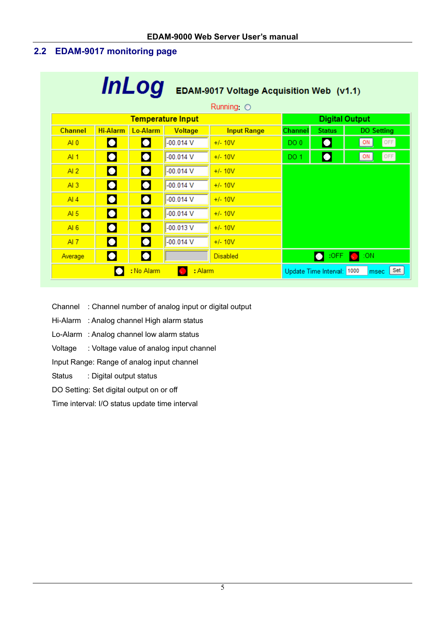### **2.2 EDAM-9017 monitoring page**

| <b>InLog</b><br>EDAM-9017 Voltage Acquisition Web (v1.1) |                                                                                |                |                          |                    |         |                       |                    |  |  |  |
|----------------------------------------------------------|--------------------------------------------------------------------------------|----------------|--------------------------|--------------------|---------|-----------------------|--------------------|--|--|--|
|                                                          | Running $\bigcirc$                                                             |                |                          |                    |         |                       |                    |  |  |  |
|                                                          |                                                                                |                | <b>Temperature Input</b> |                    |         | <b>Digital Output</b> |                    |  |  |  |
| <b>Channel</b>                                           | <b>Hi-Alarm</b>                                                                | Lo-Alarm       | Voltage                  | <b>Input Range</b> | Channel | <b>Status</b>         | <b>DO Setting</b>  |  |  |  |
| AI <sub>0</sub>                                          | $\Box$                                                                         | $\blacksquare$ | $-00.014$ V              | $+/- 10V$          | DO 0    | $\Box$                | OFF<br>ON          |  |  |  |
| AI1                                                      | $\blacksquare$                                                                 | $\bullet$      | $-00.014$ V              | $+/- 10V$          | DO 1    | $\Box$                | [OFF]<br>ON        |  |  |  |
| AI2                                                      | $\blacksquare$                                                                 | $\blacksquare$ | $-00.014$ V              | $+/- 10V$          |         |                       |                    |  |  |  |
| AI3                                                      | $\blacksquare$                                                                 | П              | $-00.014$ V              | $+/- 10V$          |         |                       |                    |  |  |  |
| Al $4$                                                   | $\blacksquare$                                                                 | $\blacksquare$ | $-00.014$ V              | $+/- 10V$          |         |                       |                    |  |  |  |
| AI $5$                                                   | $\blacksquare$                                                                 | $\blacksquare$ | $-00.014$ V              | $+/- 10V$          |         |                       |                    |  |  |  |
| AI6                                                      | $\blacksquare$                                                                 | $\blacksquare$ | $-00.013$ V              | $+/- 10V$          |         |                       |                    |  |  |  |
| AI7                                                      | $\blacksquare$                                                                 | $\blacksquare$ | $-00.014$ V              | $+/- 10V$          |         |                       |                    |  |  |  |
| Average                                                  | $\blacksquare$                                                                 | $\Box$         |                          | <b>Disabled</b>    |         | :OFF<br>S.            | :ON<br><b>Ball</b> |  |  |  |
|                                                          | Set <br>: No Alarm<br>: Alarm<br>M<br>Update Time Interval: 1000<br>msec<br>K. |                |                          |                    |         |                       |                    |  |  |  |

Channel : Channel number of analog input or digital output

- Hi-Alarm : Analog channel High alarm status
- Lo-Alarm : Analog channel low alarm status
- Voltage : Voltage value of analog input channel

Input Range: Range of analog input channel

- Status : Digital output status
- DO Setting: Set digital output on or off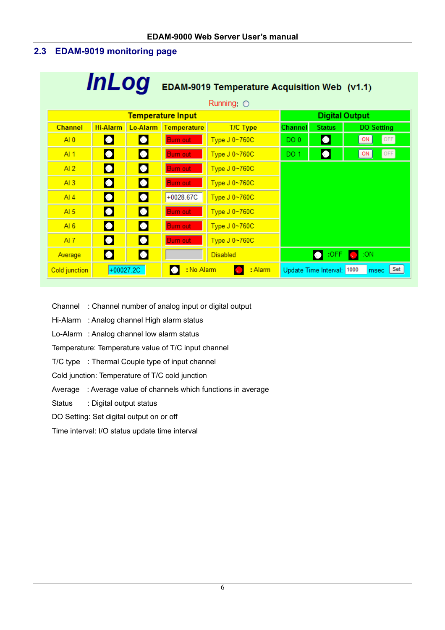### **2.3 EDAM-9019 monitoring page**

| <b>InLog</b><br>EDAM-9019 Temperature Acquisition Web (v1.1) |                                                                                         |                |                          |                 |         |                       |                   |  |  |  |  |
|--------------------------------------------------------------|-----------------------------------------------------------------------------------------|----------------|--------------------------|-----------------|---------|-----------------------|-------------------|--|--|--|--|
|                                                              | Running $\bigcirc$                                                                      |                |                          |                 |         |                       |                   |  |  |  |  |
|                                                              |                                                                                         |                | <b>Temperature Input</b> |                 |         | <b>Digital Output</b> |                   |  |  |  |  |
| <b>Channel</b>                                               | <b>Hi-Alarm</b>                                                                         |                | Lo-Alarm Temperature     | <b>T/C Type</b> | Channel | <b>Status</b>         | <b>DO Setting</b> |  |  |  |  |
| AI 0                                                         | $\blacksquare$                                                                          | <b>No.</b>     | <b>Burn out</b>          | Type J 0~760C   | DO 0    | $\bullet$             | OFF<br>ON         |  |  |  |  |
| AI 1                                                         | $\blacksquare$                                                                          | $\blacksquare$ | <b>Burn out</b>          | Type J 0~760C   | DO 1    | $\Box$                | [OFF]<br>ON       |  |  |  |  |
| AI2                                                          | $\blacksquare$                                                                          | $\blacksquare$ | <b>Burn out</b>          | Type J 0~760C   |         |                       |                   |  |  |  |  |
| AI3                                                          | $\blacksquare$                                                                          | П              | <b>Burn out</b>          | Type J 0~760C   |         |                       |                   |  |  |  |  |
| AI 4                                                         | $\Box$                                                                                  | $\blacksquare$ | +0028.67C                | Type J 0~760C   |         |                       |                   |  |  |  |  |
| AI $5$                                                       | $\blacksquare$                                                                          | $\blacksquare$ | Burn out                 | Type J 0~760C   |         |                       |                   |  |  |  |  |
| AI $6$                                                       | $\blacksquare$                                                                          | $\blacksquare$ | <b>Burn out</b>          | Type J 0~760C   |         |                       |                   |  |  |  |  |
| AI $7$                                                       | $\blacksquare$                                                                          | $\blacksquare$ | <b>Burn out</b>          | Type J 0~760C   |         |                       |                   |  |  |  |  |
| Average                                                      | $\Box$                                                                                  | $\blacksquare$ |                          | <b>Disabled</b> |         | $:$ OFF               | :ON               |  |  |  |  |
| Cold junction                                                | Ø.<br>Set<br>$+00027.2C$<br>: No Alarm<br>: Alarm<br>Update Time Interval: 1000<br>msec |                |                          |                 |         |                       |                   |  |  |  |  |

- Channel : Channel number of analog input or digital output
- Hi-Alarm : Analog channel High alarm status
- Lo-Alarm : Analog channel low alarm status

Temperature: Temperature value of T/C input channel

- T/C type : Thermal Couple type of input channel
- Cold junction: Temperature of T/C cold junction
- Average : Average value of channels which functions in average
- Status : Digital output status
- DO Setting: Set digital output on or off
- Time interval: I/O status update time interval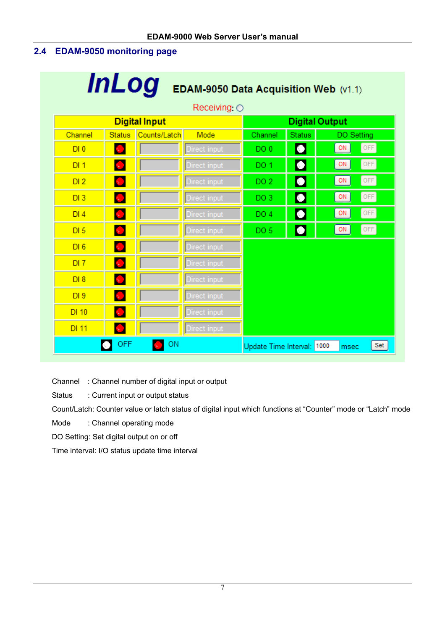## **2.4 EDAM-9050 monitoring page**

| <b>InLog</b><br>EDAM-9050 Data Acquisition Web (v1.1) |                                                               |                       |              |                 |                             |             |  |  |  |  |
|-------------------------------------------------------|---------------------------------------------------------------|-----------------------|--------------|-----------------|-----------------------------|-------------|--|--|--|--|
|                                                       | Receiving $\bigcirc$                                          |                       |              |                 |                             |             |  |  |  |  |
|                                                       | <b>Digital Input</b>                                          | <b>Digital Output</b> |              |                 |                             |             |  |  |  |  |
| Channel                                               | <b>Status</b>                                                 | Counts/Latch          | Mode         | Channel         | <b>Status</b>               | DO Setting  |  |  |  |  |
| DI <sub>0</sub>                                       | $\Delta \sim 1$                                               |                       | Direct input | DO 0            | $\sim$                      | OFF<br>ON   |  |  |  |  |
| DI <sub>1</sub>                                       | $\infty$ .                                                    |                       | Direct input | DO 1            | $\mathcal{C}_{\mathcal{A}}$ | OFF<br>ON   |  |  |  |  |
| DI <sub>2</sub>                                       | $\mathbf{v}$ .                                                |                       | Direct input | DO <sub>2</sub> | $\mathcal{L}_{\mathcal{A}}$ | OFF<br>ON   |  |  |  |  |
| DI3                                                   | $\infty$ .                                                    |                       | Direct input | DO <sub>3</sub> | k.                          | OFF<br>ON   |  |  |  |  |
| DI4                                                   | М                                                             |                       | Direct input | DO <sub>4</sub> | $\sim$                      | OFF<br>ON   |  |  |  |  |
| DI <sub>5</sub>                                       | Ы                                                             |                       | Direct input | DO <sub>5</sub> | $\blacksquare$              | [OFF]<br>ON |  |  |  |  |
| DI6                                                   | $\mathbf{v}_\mathrm{c}$                                       |                       | Direct input |                 |                             |             |  |  |  |  |
| DI7                                                   | N.                                                            |                       | Direct input |                 |                             |             |  |  |  |  |
| DI 8                                                  | $\mathcal{L}_{\mathcal{A}}$                                   |                       | Direct input |                 |                             |             |  |  |  |  |
| DI <sub>9</sub>                                       | $\mathbf{v}$ .                                                |                       | Direct input |                 |                             |             |  |  |  |  |
| DI 10                                                 | $\sim$                                                        |                       | Direct input |                 |                             |             |  |  |  |  |
| DI 11                                                 | $\mathcal{N} \subset \mathbb{R}^n$                            |                       | Direct input |                 |                             |             |  |  |  |  |
|                                                       | <b>OFF</b><br>ON<br>Set<br>Update Time Interval: 1000<br>msec |                       |              |                 |                             |             |  |  |  |  |

Channel : Channel number of digital input or output

Status : Current input or output status

Count/Latch: Counter value or latch status of digital input which functions at "Counter" mode or "Latch" mode

Mode : Channel operating mode

DO Setting: Set digital output on or off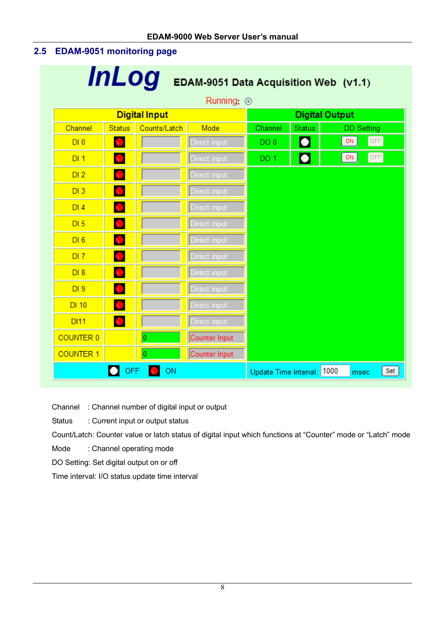#### **2.5 EDAM-9051 monitoring page**

| <i>InLog</i><br>EDAM-9051 Data Acquisition Web (v1.1) |                 |                      |               |                            |                             |             |     |  |  |  |
|-------------------------------------------------------|-----------------|----------------------|---------------|----------------------------|-----------------------------|-------------|-----|--|--|--|
|                                                       | Running $\odot$ |                      |               |                            |                             |             |     |  |  |  |
|                                                       |                 | <b>Digital Input</b> |               |                            | <b>Digital Output</b>       |             |     |  |  |  |
| Channel                                               | <b>Status</b>   | Counts/Latch         | Mode          | Channel                    | <b>Status</b>               | DO Setting  |     |  |  |  |
| DI <sub>0</sub>                                       | $\sim$          |                      | Direct input  | DO <sub>0</sub>            | s.                          | OFF<br>ON   |     |  |  |  |
| DI <sub>1</sub>                                       | <b>ST</b>       |                      | Direct input  | DO <sub>1</sub>            | $\mathcal{L}_{\mathcal{A}}$ | [OFF]<br>ON |     |  |  |  |
| DI2                                                   | М               |                      | Direct input  |                            |                             |             |     |  |  |  |
| DI3                                                   | М               |                      | Direct input  |                            |                             |             |     |  |  |  |
| DI4                                                   | <b>M</b>        |                      | Direct input  |                            |                             |             |     |  |  |  |
| DI <sub>5</sub>                                       | N.              |                      | Direct input  |                            |                             |             |     |  |  |  |
| DI6                                                   | $\sim$          |                      | Direct input  |                            |                             |             |     |  |  |  |
| DI7                                                   | <b>M</b>        |                      | Direct input  |                            |                             |             |     |  |  |  |
| DI 8                                                  | $\sim$          |                      | Direct input  |                            |                             |             |     |  |  |  |
| DI <sub>9</sub>                                       | $\sim$ 1        |                      | Direct input  |                            |                             |             |     |  |  |  |
| DI 10                                                 | <b>M</b>        |                      | Direct input  |                            |                             |             |     |  |  |  |
| <b>DI11</b>                                           | $\mathbf{v}$    |                      | Direct input  |                            |                             |             |     |  |  |  |
| <b>COUNTER 0</b>                                      |                 | Ò                    | Counter Input |                            |                             |             |     |  |  |  |
| <b>COUNTER 1</b>                                      |                 | 0                    | Counter Input |                            |                             |             |     |  |  |  |
|                                                       | <b>OFF</b>      | ON                   |               | Update Time Interval: 1000 |                             | msec        | Set |  |  |  |

Channel : Channel number of digital input or output

Status : Current input or output status

Count/Latch: Counter value or latch status of digital input which functions at "Counter" mode or "Latch" mode

Mode : Channel operating mode

DO Setting: Set digital output on or off